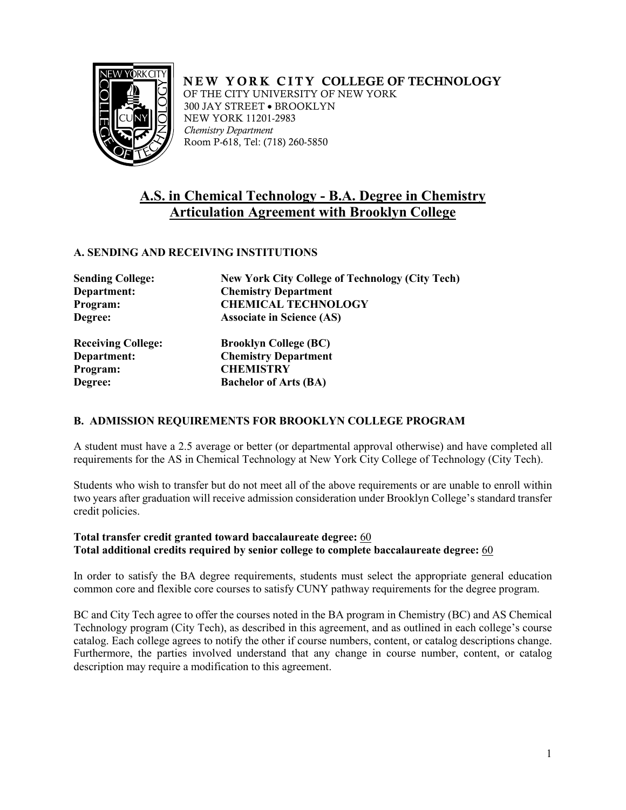

 NEW YORK CITY COLLEGE OF TECHNOLOGY OF THE CITY UNIVERSITY OF NEW YORK 300 JAY STREET • BROOKLYN NEW YORK 11201-2983 *Chemistry Department*  Room P-618, Tel: (718) 260-5850

# **A.S. in Chemical Technology - B.A. Degree in Chemistry Articulation Agreement with Brooklyn College**

## **A. SENDING AND RECEIVING INSTITUTIONS**

| <b>New York City College of Technology (City Tech)</b> |
|--------------------------------------------------------|
| <b>Chemistry Department</b>                            |
| <b>CHEMICAL TECHNOLOGY</b>                             |
| <b>Associate in Science (AS)</b>                       |
| <b>Brooklyn College (BC)</b>                           |
| <b>Chemistry Department</b>                            |
| <b>CHEMISTRY</b>                                       |
| <b>Bachelor of Arts (BA)</b>                           |
|                                                        |

## **B. ADMISSION REQUIREMENTS FOR BROOKLYN COLLEGE PROGRAM**

requirements for the AS in Chemical Technology at New York City College of Technology (City Tech). A student must have a 2.5 average or better (or departmental approval otherwise) and have completed all

 two years after graduation will receive admission consideration under Brooklyn College's standard transfer Students who wish to transfer but do not meet all of the above requirements or are unable to enroll within credit policies.

## **Total transfer credit granted toward baccalaureate degree:** 60 **Total additional credits required by senior college to complete baccalaureate degree:** 60

 In order to satisfy the BA degree requirements, students must select the appropriate general education common core and flexible core courses to satisfy CUNY pathway requirements for the degree program.

 BC and City Tech agree to offer the courses noted in the BA program in Chemistry (BC) and AS Chemical description may require a modification to this agreement. Technology program (City Tech), as described in this agreement, and as outlined in each college's course catalog. Each college agrees to notify the other if course numbers, content, or catalog descriptions change. Furthermore, the parties involved understand that any change in course number, content, or catalog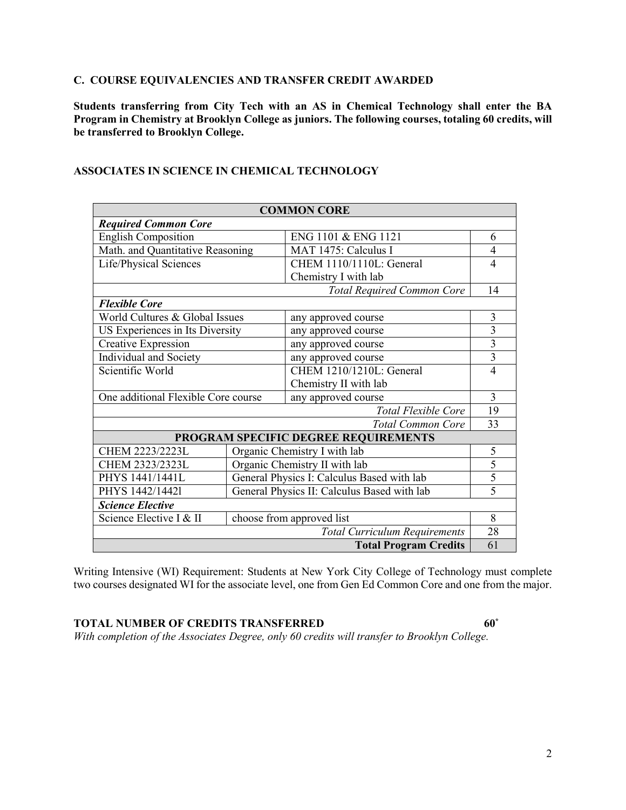#### **C. COURSE EQUIVALENCIES AND TRANSFER CREDIT AWARDED**

 **Students transferring from City Tech with an AS in Chemical Technology shall enter the BA Program in Chemistry at Brooklyn College as juniors. The following courses, totaling 60 credits, will be transferred to Brooklyn College.** 

| <b>COMMON CORE</b>                   |                                             |                                   |                |  |  |
|--------------------------------------|---------------------------------------------|-----------------------------------|----------------|--|--|
| <b>Required Common Core</b>          |                                             |                                   |                |  |  |
| <b>English Composition</b>           |                                             | ENG 1101 & ENG 1121               | 6              |  |  |
| Math. and Quantitative Reasoning     |                                             | MAT 1475: Calculus I              | 4              |  |  |
| Life/Physical Sciences               |                                             | CHEM 1110/1110L: General          | 4              |  |  |
|                                      |                                             | Chemistry I with lab              |                |  |  |
|                                      |                                             | <b>Total Required Common Core</b> | 14             |  |  |
| <b>Flexible Core</b>                 |                                             |                                   |                |  |  |
| World Cultures & Global Issues       |                                             | any approved course               | 3              |  |  |
| US Experiences in Its Diversity      |                                             | any approved course               | 3              |  |  |
| <b>Creative Expression</b>           |                                             | any approved course               | 3              |  |  |
| Individual and Society               |                                             | any approved course               | $\overline{3}$ |  |  |
| Scientific World                     |                                             | CHEM 1210/1210L: General          | $\overline{4}$ |  |  |
|                                      |                                             | Chemistry II with lab             |                |  |  |
| One additional Flexible Core course  |                                             | any approved course               | 3              |  |  |
|                                      |                                             | <b>Total Flexible Core</b>        | 19             |  |  |
| <b>Total Common Core</b>             |                                             |                                   | 33             |  |  |
| PROGRAM SPECIFIC DEGREE REQUIREMENTS |                                             |                                   |                |  |  |
| CHEM 2223/2223L                      |                                             | Organic Chemistry I with lab      | 5              |  |  |
| CHEM 2323/2323L                      | Organic Chemistry II with lab               |                                   | $\overline{5}$ |  |  |
| PHYS 1441/1441L                      | General Physics I: Calculus Based with lab  |                                   | 5              |  |  |
| PHYS 1442/14421                      | General Physics II: Calculus Based with lab |                                   | 5              |  |  |
| <b>Science Elective</b>              |                                             |                                   |                |  |  |
| Science Elective I & II              | choose from approved list                   |                                   | 8              |  |  |
| <b>Total Curriculum Requirements</b> |                                             |                                   |                |  |  |
| <b>Total Program Credits</b>         |                                             |                                   |                |  |  |

#### **ASSOCIATES IN SCIENCE IN CHEMICAL TECHNOLOGY**

 two courses designated WI for the associate level, one from Gen Ed Common Core and one from the major. Writing Intensive (WI) Requirement: Students at New York City College of Technology must complete

# **TOTAL NUMBER OF CREDITS TRANSFERRED 60\***

 *With completion of the Associates Degree, only 60 credits will transfer to Brooklyn College.*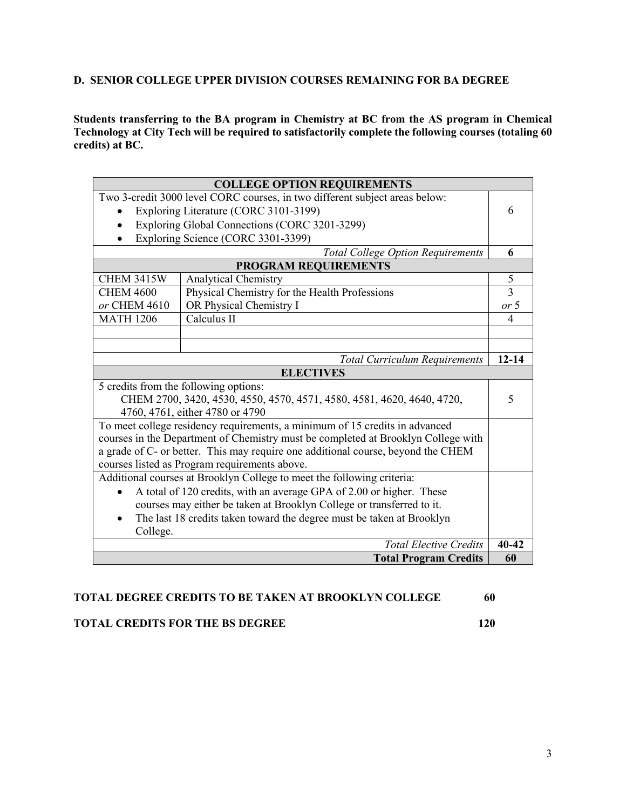#### **D. SENIOR COLLEGE UPPER DIVISION COURSES REMAINING FOR BA DEGREE**

 **Technology at City Tech will be required to satisfactorily complete the following courses (totaling 60 Students transferring to the BA program in Chemistry at BC from the AS program in Chemical credits) at BC.** 

| <b>COLLEGE OPTION REQUIREMENTS</b>                                                 |                                                                             |                |  |
|------------------------------------------------------------------------------------|-----------------------------------------------------------------------------|----------------|--|
|                                                                                    | Two 3-credit 3000 level CORC courses, in two different subject areas below: |                |  |
|                                                                                    | Exploring Literature (CORC 3101-3199)                                       | 6              |  |
|                                                                                    | Exploring Global Connections (CORC 3201-3299)                               |                |  |
|                                                                                    | Exploring Science (CORC 3301-3399)                                          |                |  |
|                                                                                    | <b>Total College Option Requirements</b>                                    | 6              |  |
|                                                                                    | PROGRAM REQUIREMENTS                                                        |                |  |
| <b>CHEM 3415W</b>                                                                  | <b>Analytical Chemistry</b>                                                 | 5              |  |
| <b>CHEM 4600</b>                                                                   | Physical Chemistry for the Health Professions                               | $\overline{3}$ |  |
| or CHEM 4610                                                                       | OR Physical Chemistry I                                                     | or 5           |  |
| <b>MATH 1206</b>                                                                   | Calculus II                                                                 | 4              |  |
|                                                                                    |                                                                             |                |  |
|                                                                                    |                                                                             |                |  |
|                                                                                    | <b>Total Curriculum Requirements</b>                                        | $12 - 14$      |  |
|                                                                                    | <b>ELECTIVES</b>                                                            |                |  |
|                                                                                    | 5 credits from the following options:                                       | 5              |  |
| CHEM 2700, 3420, 4530, 4550, 4570, 4571, 4580, 4581, 4620, 4640, 4720,             |                                                                             |                |  |
| 4760, 4761, either 4780 or 4790                                                    |                                                                             |                |  |
|                                                                                    | To meet college residency requirements, a minimum of 15 credits in advanced |                |  |
| courses in the Department of Chemistry must be completed at Brooklyn College with  |                                                                             |                |  |
| a grade of C- or better. This may require one additional course, beyond the CHEM   |                                                                             |                |  |
|                                                                                    | courses listed as Program requirements above.                               |                |  |
|                                                                                    | Additional courses at Brooklyn College to meet the following criteria:      |                |  |
| A total of 120 credits, with an average GPA of 2.00 or higher. These               |                                                                             |                |  |
| courses may either be taken at Brooklyn College or transferred to it.              |                                                                             |                |  |
| The last 18 credits taken toward the degree must be taken at Brooklyn<br>$\bullet$ |                                                                             |                |  |
| College.                                                                           |                                                                             |                |  |
|                                                                                    | <b>Total Elective Credits</b>                                               | $40 - 42$      |  |
|                                                                                    | <b>Total Program Credits</b>                                                | 60             |  |

# **TOTAL DEGREE CREDITS TO BE TAKEN AT BROOKLYN COLLEGE 60**

# **TOTAL CREDITS FOR THE BS DEGREE 120**